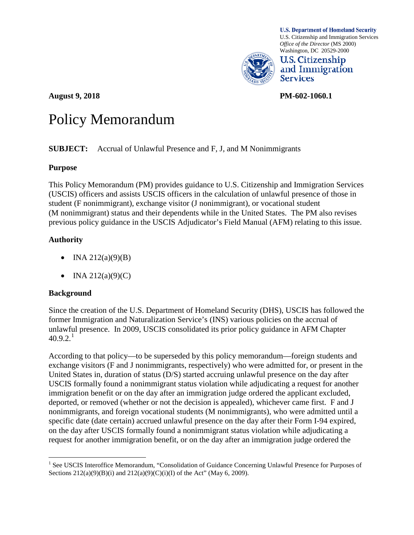

**U.S. Department of Homeland Security** U.S. Citizenship and Immigration Services *Office of the Director* (MS 2000) Washington, DC 20529-2000



**August 9, 2018 PM-602-1060.1**

# Policy Memorandum

#### **SUBJECT:** Accrual of Unlawful Presence and F, J, and M Nonimmigrants

#### **Purpose**

This Policy Memorandum (PM) provides guidance to U.S. Citizenship and Immigration Services (USCIS) officers and assists USCIS officers in the calculation of unlawful presence of those in student (F nonimmigrant), exchange visitor (J nonimmigrant), or vocational student (M nonimmigrant) status and their dependents while in the United States. The PM also revises previous policy guidance in the USCIS Adjudicator's Field Manual (AFM) relating to this issue.

# **Authority**

- INA  $212(a)(9)(B)$
- INA  $212(a)(9)(C)$

#### **Background**

Since the creation of the U.S. Department of Homeland Security (DHS), USCIS has followed the former Immigration and Naturalization Service's (INS) various policies on the accrual of unlawful presence. In 2009, USCIS consolidated its prior policy guidance in AFM Chapter  $40.9.2.^1$  $40.9.2.^1$ 

According to that policy—to be superseded by this policy memorandum—foreign students and exchange visitors (F and J nonimmigrants, respectively) who were admitted for, or present in the United States in, duration of status (D/S) started accruing unlawful presence on the day after USCIS formally found a nonimmigrant status violation while adjudicating a request for another immigration benefit or on the day after an immigration judge ordered the applicant excluded, deported, or removed (whether or not the decision is appealed), whichever came first. F and J nonimmigrants, and foreign vocational students (M nonimmigrants), who were admitted until a specific date (date certain) accrued unlawful presence on the day after their Form I-94 expired, on the day after USCIS formally found a nonimmigrant status violation while adjudicating a request for another immigration benefit, or on the day after an immigration judge ordered the

<span id="page-0-0"></span><sup>&</sup>lt;sup>1</sup> See USCIS Interoffice Memorandum, "Consolidation of Guidance Concerning Unlawful Presence for Purposes of Sections  $212(a)(9)(B)(i)$  and  $212(a)(9)(C)(i)(I)$  of the Act" (May 6, 2009).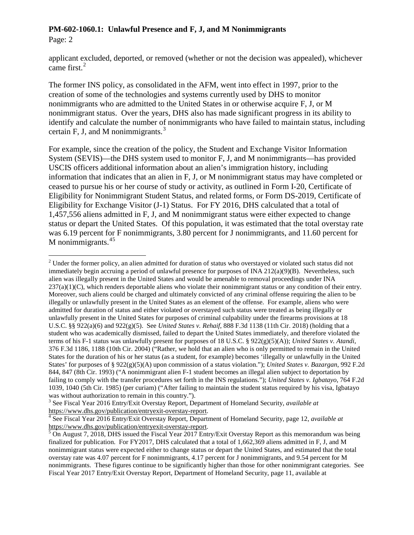Page: 2

applicant excluded, deported, or removed (whether or not the decision was appealed), whichever came first. $^{2}$  $^{2}$  $^{2}$ 

The former INS policy, as consolidated in the AFM, went into effect in 1997, prior to the creation of some of the technologies and systems currently used by DHS to monitor nonimmigrants who are admitted to the United States in or otherwise acquire F, J, or M nonimmigrant status. Over the years, DHS also has made significant progress in its ability to identify and calculate the number of nonimmigrants who have failed to maintain status, including certain F, J, and M nonimmigrants. $3$ 

For example, since the creation of the policy, the Student and Exchange Visitor Information System (SEVIS)—the DHS system used to monitor F, J, and M nonimmigrants—has provided USCIS officers additional information about an alien's immigration history, including information that indicates that an alien in F, J, or M nonimmigrant status may have completed or ceased to pursue his or her course of study or activity, as outlined in Form I-20, Certificate of Eligibility for Nonimmigrant Student Status, and related forms, or Form DS-2019, Certificate of Eligibility for Exchange Visitor (J-1) Status. For FY 2016, DHS calculated that a total of 1,457,556 aliens admitted in F, J, and M nonimmigrant status were either expected to change status or depart the United States. Of this population, it was estimated that the total overstay rate was 6.19 percent for F nonimmigrants, 3.80 percent for J nonimmigrants, and 11.60 percent for M nonimmigrants.  $45$  $45$ 

<span id="page-1-0"></span> $2$  Under the former policy, an alien admitted for duration of status who overstayed or violated such status did not immediately begin accruing a period of unlawful presence for purposes of INA  $212(a)(9)(B)$ . Nevertheless, such alien was illegally present in the United States and would be amenable to removal proceedings under INA 237(a)(1)(C), which renders deportable aliens who violate their nonimmigrant status or any condition of their entry. Moreover, such aliens could be charged and ultimately convicted of any criminal offense requiring the alien to be illegally or unlawfully present in the United States as an element of the offense. For example, aliens who were admitted for duration of status and either violated or overstayed such status were treated as being illegally or unlawfully present in the United States for purposes of criminal culpability under the firearms provisions at 18 U.S.C. §§ 922(a)(6) and 922(g)(5). See *United States v. Rehaif*, 888 F.3d 1138 (11th Cir. 2018) (holding that a student who was academically dismissed, failed to depart the United States immediately, and therefore violated the terms of his F-1 status was unlawfully present for purposes of 18 U.S.C. § 922(g)(5)(A)); *United States v. Atandi*, 376 F.3d 1186, 1188 (10th Cir. 2004) ("Rather, we hold that an alien who is only permitted to remain in the United States for the duration of his or her status (as a student, for example) becomes 'illegally or unlawfully in the United States' for purposes of § 922(g)(5)(A) upon commission of a status violation."); *United States v. Bazargan*, 992 F.2d 844, 847 (8th Cir. 1993) ("A nonimmigrant alien F-1 student becomes an illegal alien subject to deportation by failing to comply with the transfer procedures set forth in the INS regulations."); *United States v. Igbatayo*, 764 F.2d 1039, 1040 (5th Cir. 1985) (per curiam) ("After failing to maintain the student status required by his visa, Igbatayo was without authorization to remain in this country.").

<span id="page-1-1"></span><sup>&</sup>lt;sup>3</sup> See Fiscal Year 2016 Entry/Exit Overstay Report, Department of Homeland Security, *available at* https://www.dhs.gov/publication/entryexit-overstay-report.

<span id="page-1-2"></span><sup>&</sup>lt;sup>4</sup> See Fiscal Year 2016 Entry/Exit Overstay Report, Department of Homeland Security, page 12, *available at* [https://www.dhs.gov/publication/entryexit-overstay-report.](https://www.dhs.gov/publication/entryexit-overstay-report)<br>
<sup>[5](https://www.dhs.gov/publication/entryexit-overstay-report)</sup> On August 7, 2018, DHS issued the Fiscal Year 2017 Entry/Exit Overstay Report as this memorandum was being

<span id="page-1-3"></span>finalized for publication. For FY2017, DHS calculated that a total of 1,662,369 aliens admitted in F, J, and M nonimmigrant status were expected either to change status or depart the United States, and estimated that the total overstay rate was 4.07 percent for F nonimmigrants, 4.17 percent for J nonimmigrants, and 9.54 percent for M nonimmigrants. These figures continue to be significantly higher than those for other nonimmigrant categories. See Fiscal Year 2017 Entry/Exit Overstay Report, Department of Homeland Security, page 11, available at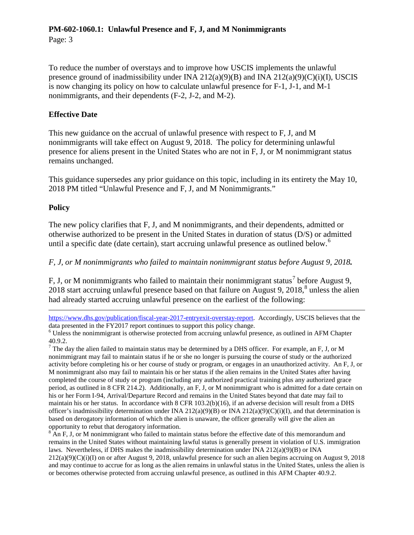Page: 3

To reduce the number of overstays and to improve how USCIS implements the unlawful presence ground of inadmissibility under INA  $212(a)(9)(B)$  and INA  $212(a)(9)(C)(i)(I)$ , USCIS is now changing its policy on how to calculate unlawful presence for F-1, J-1, and M-1 nonimmigrants, and their dependents (F-2, J-2, and M-2).

#### **Effective Date**

This new guidance on the accrual of unlawful presence with respect to F, J, and M nonimmigrants will take effect on August 9, 2018. The policy for determining unlawful presence for aliens present in the United States who are not in F, J, or M nonimmigrant status remains unchanged.

This guidance supersedes any prior guidance on this topic, including in its entirety the May 10, 2018 PM titled "Unlawful Presence and F, J, and M Nonimmigrants."

#### **Policy**

 $\overline{a}$ 

The new policy clarifies that F, J, and M nonimmigrants, and their dependents, admitted or otherwise authorized to be present in the United States in duration of status (D/S) or admitted until a specific date (date certain), start accruing unlawful presence as outlined below.<sup>[6](#page-2-0)</sup>

#### *F, J, or M nonimmigrants who failed to maintain nonimmigrant status before August 9, 2018.*

F, J, or M nonimmigrants who failed to maintain their nonimmigrant status<sup>[7](#page-2-1)</sup> before August 9, 2018 start accruing unlawful presence based on that failure on August 9, 2018, [8](#page-2-2) unless the alien had already started accruing unlawful presence on the earliest of the following:

[https://www.dhs.gov/publication/fiscal-year-2017-entryexit-overstay-report.](https://www.dhs.gov/publication/fiscal-year-2017-entryexit-overstay-report) Accordingly, USCIS believes that the data presented in the FY2017 report continues to support this policy change.<br><sup>6</sup> Unless the nonimmigrant is otherwise protected from accruing unlawful presence, as outlined in AFM Chapter

<span id="page-2-0"></span>40.9.2.

<span id="page-2-1"></span> $7$  The day the alien failed to maintain status may be determined by a DHS officer. For example, an F, J, or M nonimmigrant may fail to maintain status if he or she no longer is pursuing the course of study or the authorized activity before completing his or her course of study or program, or engages in an unauthorized activity. An F, J, or M nonimmigrant also may fail to maintain his or her status if the alien remains in the United States after having completed the course of study or program (including any authorized practical training plus any authorized grace period, as outlined in 8 CFR 214.2). Additionally, an F, J, or M nonimmigrant who is admitted for a date certain on his or her Form I-94, Arrival/Departure Record and remains in the United States beyond that date may fail to maintain his or her status. In accordance with 8 CFR 103.2(b)(16), if an adverse decision will result from a DHS officer's inadmissibility determination under INA 212(a)(9)(B) or INA 212(a)(9)(C)(i)(I), and that determination is based on derogatory information of which the alien is unaware, the officer generally will give the alien an opportunity to rebut that derogatory information.

<span id="page-2-2"></span><sup>8</sup> An F, J, or M nonimmigrant who failed to maintain status before the effective date of this memorandum and remains in the United States without maintaining lawful status is generally present in violation of U.S. immigration laws. Nevertheless, if DHS makes the inadmissibility determination under INA 212(a)(9)(B) or INA  $212(a)(9)(C)(i)(I)$  on or after August 9, 2018, unlawful presence for such an alien begins accruing on August 9, 2018 and may continue to accrue for as long as the alien remains in unlawful status in the United States, unless the alien is or becomes otherwise protected from accruing unlawful presence, as outlined in this AFM Chapter 40.9.2.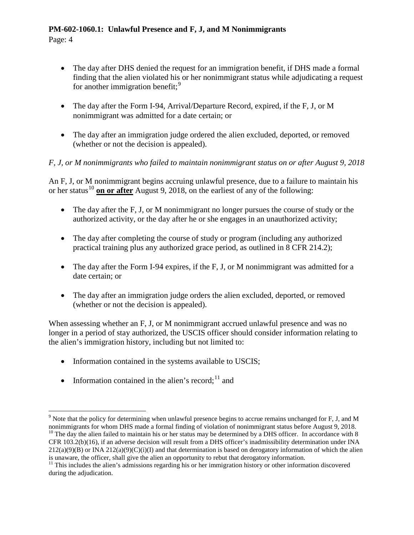Page: 4

- The day after DHS denied the request for an immigration benefit, if DHS made a formal finding that the alien violated his or her nonimmigrant status while adjudicating a request for another immigration benefit;<sup>[9](#page-3-0)</sup>
- The day after the Form I-94, Arrival/Departure Record, expired, if the F, J, or M nonimmigrant was admitted for a date certain; or
- The day after an immigration judge ordered the alien excluded, deported, or removed (whether or not the decision is appealed).

# *F, J, or M nonimmigrants who failed to maintain nonimmigrant status on or after August 9, 2018*

An F, J, or M nonimmigrant begins accruing unlawful presence, due to a failure to maintain his or her status<sup>[10](#page-3-1)</sup> on or after August 9, 2018, on the earliest of any of the following:

- The day after the F, J, or M nonimmigrant no longer pursues the course of study or the authorized activity, or the day after he or she engages in an unauthorized activity;
- The day after completing the course of study or program (including any authorized practical training plus any authorized grace period, as outlined in 8 CFR 214.2);
- The day after the Form I-94 expires, if the F, J, or M nonimmigrant was admitted for a date certain; or
- The day after an immigration judge orders the alien excluded, deported, or removed (whether or not the decision is appealed).

When assessing whether an F, J, or M nonimmigrant accrued unlawful presence and was no longer in a period of stay authorized, the USCIS officer should consider information relating to the alien's immigration history, including but not limited to:

- Information contained in the systems available to USCIS;
- Information contained in the alien's record; $^{11}$  $^{11}$  $^{11}$  and

is unaware, the officer, shall give the alien an opportunity to rebut that derogatory information.

<span id="page-3-1"></span><span id="page-3-0"></span> $9$  Note that the policy for determining when unlawful presence begins to accrue remains unchanged for F, J, and M nonimmigrants for whom DHS made a formal finding of violation of nonimmigrant status before August 9, 2018 <sup>10</sup> The day the alien failed to maintain his or her status may be determined by a DHS officer. In accordance with 8 CFR 103.2(b)(16), if an adverse decision will result from a DHS officer's inadmissibility determination under INA  $212(a)(9)(B)$  or INA  $212(a)(9)(C)(i)(I)$  and that determination is based on derogatory information of which the alien

<span id="page-3-2"></span><sup>&</sup>lt;sup>11</sup> This includes the alien's admissions regarding his or her immigration history or other information discovered during the adjudication.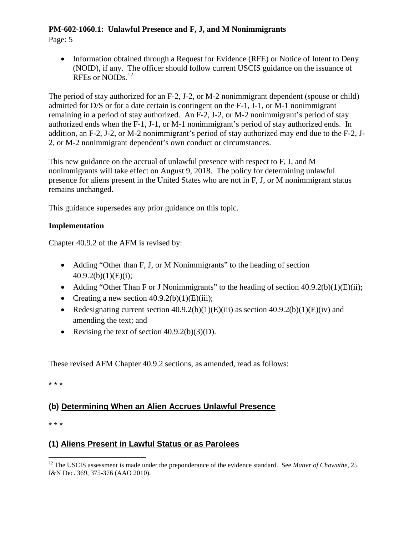Page: 5

• Information obtained through a Request for Evidence (RFE) or Notice of Intent to Deny (NOID), if any. The officer should follow current USCIS guidance on the issuance of RFEs or NOIDs.<sup>[12](#page-4-0)</sup>

The period of stay authorized for an F-2, J-2, or M-2 nonimmigrant dependent (spouse or child) admitted for D/S or for a date certain is contingent on the F-1, J-1, or M-1 nonimmigrant remaining in a period of stay authorized. An F-2, J-2, or M-2 nonimmigrant's period of stay authorized ends when the F-1, J-1, or M-1 nonimmigrant's period of stay authorized ends. In addition, an F-2, J-2, or M-2 nonimmigrant's period of stay authorized may end due to the F-2, J-2, or M-2 nonimmigrant dependent's own conduct or circumstances.

This new guidance on the accrual of unlawful presence with respect to F, J, and M nonimmigrants will take effect on August 9, 2018. The policy for determining unlawful presence for aliens present in the United States who are not in F, J, or M nonimmigrant status remains unchanged.

This guidance supersedes any prior guidance on this topic.

# **Implementation**

Chapter 40.9.2 of the AFM is revised by:

- Adding "Other than F, J, or M Nonimmigrants" to the heading of section  $40.9.2(b)(1)(E)(i);$
- Adding "Other Than F or J Nonimmigrants" to the heading of section  $40.9.2(b)(1)(E)(ii)$ ;
- Creating a new section  $40.9.2(b)(1)(E)(iii)$ ;
- Redesignating current section  $40.9.2(b)(1)(E)(iii)$  as section  $40.9.2(b)(1)(E)(iv)$  and amending the text; and
- Revising the text of section  $40.9.2(b)(3)(D)$ .

These revised AFM Chapter 40.9.2 sections, as amended, read as follows:

\* \* \*

# **(b) Determining When an Alien Accrues Unlawful Presence**

\* \* \*

# **(1) Aliens Present in Lawful Status or as Parolees**

<span id="page-4-0"></span><sup>&</sup>lt;sup>12</sup> The USCIS assessment is made under the preponderance of the evidence standard. See *Matter of Chawathe*, 25 I&N Dec. 369, 375-376 (AAO 2010).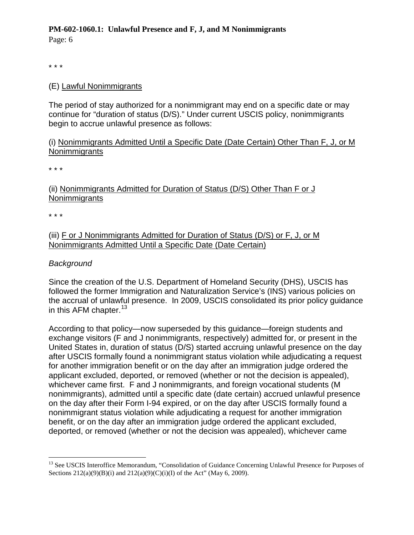Page: 6

\* \* \*

## (E) Lawful Nonimmigrants

The period of stay authorized for a nonimmigrant may end on a specific date or may continue for "duration of status (D/S)." Under current USCIS policy, nonimmigrants begin to accrue unlawful presence as follows:

#### (i) Nonimmigrants Admitted Until a Specific Date (Date Certain) Other Than F, J, or M **Nonimmigrants**

\* \* \*

# (ii) Nonimmigrants Admitted for Duration of Status (D/S) Other Than F or J **Nonimmigrants**

\* \* \*

(iii) F or J Nonimmigrants Admitted for Duration of Status (D/S) or F, J, or M Nonimmigrants Admitted Until a Specific Date (Date Certain)

# *Background*

Since the creation of the U.S. Department of Homeland Security (DHS), USCIS has followed the former Immigration and Naturalization Service's (INS) various policies on the accrual of unlawful presence. In 2009, USCIS consolidated its prior policy guidance in this AFM chapter.  $13$ 

According to that policy—now superseded by this guidance—foreign students and exchange visitors (F and J nonimmigrants, respectively) admitted for, or present in the United States in, duration of status (D/S) started accruing unlawful presence on the day after USCIS formally found a nonimmigrant status violation while adjudicating a request for another immigration benefit or on the day after an immigration judge ordered the applicant excluded, deported, or removed (whether or not the decision is appealed), whichever came first. F and J nonimmigrants, and foreign vocational students (M nonimmigrants), admitted until a specific date (date certain) accrued unlawful presence on the day after their Form I-94 expired, or on the day after USCIS formally found a nonimmigrant status violation while adjudicating a request for another immigration benefit, or on the day after an immigration judge ordered the applicant excluded, deported, or removed (whether or not the decision was appealed), whichever came

<span id="page-5-0"></span><sup>&</sup>lt;sup>13</sup> See USCIS Interoffice Memorandum, "Consolidation of Guidance Concerning Unlawful Presence for Purposes of Sections  $212(a)(9)(B)(i)$  and  $212(a)(9)(C)(i)(I)$  of the Act" (May 6, 2009).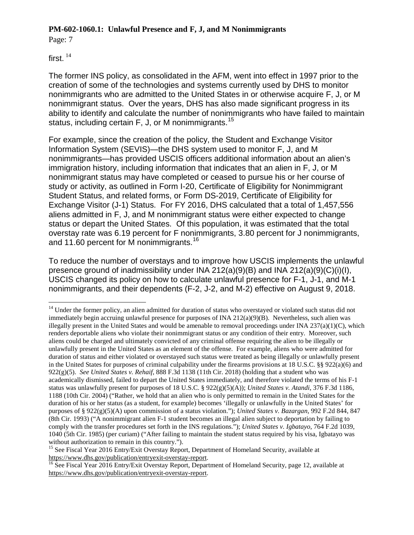Page: 7

first.  $14$ 

The former INS policy, as consolidated in the AFM, went into effect in 1997 prior to the creation of some of the technologies and systems currently used by DHS to monitor nonimmigrants who are admitted to the United States in or otherwise acquire F, J, or M nonimmigrant status. Over the years, DHS has also made significant progress in its ability to identify and calculate the number of nonimmigrants who have failed to maintain status, including certain F, J, or M nonimmigrants.<sup>[15](#page-6-1)</sup>

For example, since the creation of the policy, the Student and Exchange Visitor Information System (SEVIS)—the DHS system used to monitor F, J, and M nonimmigrants—has provided USCIS officers additional information about an alien's immigration history, including information that indicates that an alien in F, J, or M nonimmigrant status may have completed or ceased to pursue his or her course of study or activity, as outlined in Form I-20, Certificate of Eligibility for Nonimmigrant Student Status, and related forms, or Form DS-2019, Certificate of Eligibility for Exchange Visitor (J-1) Status. For FY 2016, DHS calculated that a total of 1,457,556 aliens admitted in F, J, and M nonimmigrant status were either expected to change status or depart the United States. Of this population, it was estimated that the total overstay rate was 6.19 percent for F nonimmigrants, 3.80 percent for J nonimmigrants, and 11.60 percent for M nonimmigrants.<sup>[16](#page-6-2)</sup>

To reduce the number of overstays and to improve how USCIS implements the unlawful presence ground of inadmissibility under INA 212(a)(9)(B) and INA 212(a)(9)(C)(i)(I), USCIS changed its policy on how to calculate unlawful presence for F-1, J-1, and M-1 nonimmigrants, and their dependents (F-2, J-2, and M-2) effective on August 9, 2018.

<span id="page-6-0"></span> $14$  Under the former policy, an alien admitted for duration of status who overstayed or violated such status did not immediately begin accruing unlawful presence for purposes of INA 212(a)(9)(B). Nevertheless, such alien was illegally present in the United States and would be amenable to removal proceedings under INA  $237(a)(1)(C)$ , which renders deportable aliens who violate their nonimmigrant status or any condition of their entry. Moreover, such aliens could be charged and ultimately convicted of any criminal offense requiring the alien to be illegally or unlawfully present in the United States as an element of the offense. For example, aliens who were admitted for duration of status and either violated or overstayed such status were treated as being illegally or unlawfully present in the United States for purposes of criminal culpability under the firearms provisions at 18 U.S.C. §§ 922(a)(6) and 922(g)(5). *See United States v. Rehaif*, 888 F.3d 1138 (11th Cir. 2018) (holding that a student who was academically dismissed, failed to depart the United States immediately, and therefore violated the terms of his F-1 status was unlawfully present for purposes of 18 U.S.C. § 922(g)(5)(A)); *United States v. Atandi*, 376 F.3d 1186, 1188 (10th Cir. 2004) ("Rather, we hold that an alien who is only permitted to remain in the United States for the duration of his or her status (as a student, for example) becomes 'illegally or unlawfully in the United States' for purposes of § 922(g)(5)(A) upon commission of a status violation."); *United States v. Bazargan*, 992 F.2d 844, 847 (8th Cir. 1993) ("A nonimmigrant alien F-1 student becomes an illegal alien subject to deportation by failing to comply with the transfer procedures set forth in the INS regulations."); *United States v. Igbatayo*, 764 F.2d 1039, 1040 (5th Cir. 1985) (per curiam) ("After failing to maintain the student status required by his visa, Igbatayo was

<span id="page-6-1"></span><sup>&</sup>lt;sup>15</sup> See Fiscal Year 2016 Entry/Exit Overstay Report, Department of Homeland Security, available at https://www.dhs.gov/publication/entryexit-overstay-report.

<span id="page-6-2"></span> $\frac{16}{16}$  See Fiscal Year 2016 Entry/Exit Overstay Report, Department of Homeland Security, page 12, available at [https://www.dhs.gov/publication/entryexit-overstay-report.](https://www.dhs.gov/publication/entryexit-overstay-report)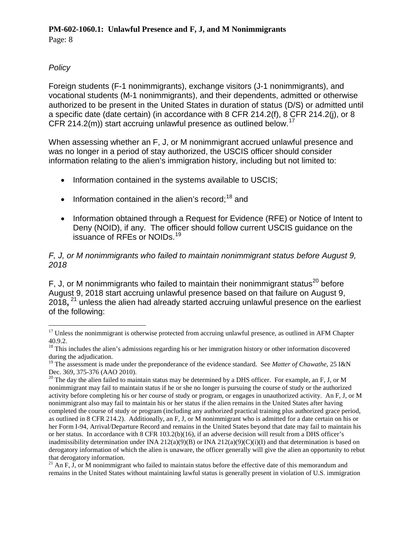Page: 8

# *Policy*

Foreign students (F-1 nonimmigrants), exchange visitors (J-1 nonimmigrants), and vocational students (M-1 nonimmigrants), and their dependents, admitted or otherwise authorized to be present in the United States in duration of status (D/S) or admitted until a specific date (date certain) (in accordance with 8 CFR 214.2(f), 8 CFR 214.2(j), or 8 CFR 214.2(m)) start accruing unlawful presence as outlined below.<sup>[17](#page-7-0)</sup>

When assessing whether an F, J, or M nonimmigrant accrued unlawful presence and was no longer in a period of stay authorized, the USCIS officer should consider information relating to the alien's immigration history, including but not limited to:

- Information contained in the systems available to USCIS;
- Information contained in the alien's record:  $18$  and
- Information obtained through a Request for Evidence (RFE) or Notice of Intent to Deny (NOID), if any. The officer should follow current USCIS guidance on the issuance of RFEs or NOIDs. [19](#page-7-2)

#### *F, J, or M nonimmigrants who failed to maintain nonimmigrant status before August 9, 2018*

F. J. or M nonimmigrants who failed to maintain their nonimmigrant status<sup>[20](#page-7-3)</sup> before August 9, 2018 start accruing unlawful presence based on that failure on August 9, 2018**,** [21](#page-7-4) unless the alien had already started accruing unlawful presence on the earliest of the following:

<span id="page-7-0"></span> $17$  Unless the nonimmigrant is otherwise protected from accruing unlawful presence, as outlined in AFM Chapter 40.9.2.

<span id="page-7-1"></span><sup>&</sup>lt;sup>18</sup> This includes the alien's admissions regarding his or her immigration history or other information discovered during the adjudication.

<span id="page-7-2"></span><sup>&</sup>lt;sup>19</sup> The assessment is made under the preponderance of the evidence standard. See *Matter of Chawathe*, 25 I&N Dec. 369, 375-376 (AAO 2010).<br><sup>20</sup> The day the alien failed to maintain status may be determined by a DHS officer. For example, an F, J, or M

<span id="page-7-3"></span>nonimmigrant may fail to maintain status if he or she no longer is pursuing the course of study or the authorized activity before completing his or her course of study or program, or engages in unauthorized activity. An F, J, or M nonimmigrant also may fail to maintain his or her status if the alien remains in the United States after having completed the course of study or program (including any authorized practical training plus authorized grace period, as outlined in 8 CFR 214.2). Additionally, an F, J, or M nonimmigrant who is admitted for a date certain on his or her Form I-94, Arrival/Departure Record and remains in the United States beyond that date may fail to maintain his or her status. In accordance with 8 CFR 103.2(b)(16), if an adverse decision will result from a DHS officer's inadmissibility determination under INA 212(a)(9)(B) or INA 212(a)(9)(C)(i)(I) and that determination is based on derogatory information of which the alien is unaware, the officer generally will give the alien an opportunity to rebut that derogatory information.

<span id="page-7-4"></span><sup>&</sup>lt;sup>21</sup> An F, J, or M nonimmigrant who failed to maintain status before the effective date of this memorandum and remains in the United States without maintaining lawful status is generally present in violation of U.S. immigration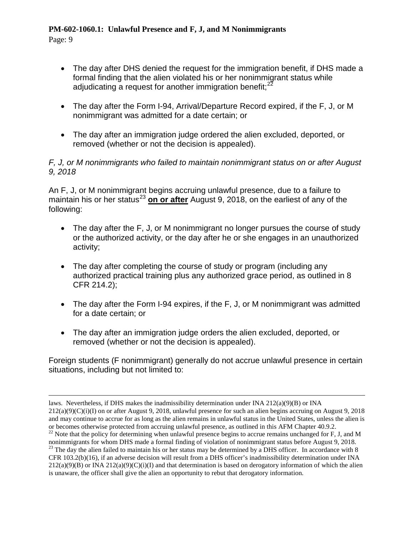Page: 9

- The day after DHS denied the request for the immigration benefit, if DHS made a formal finding that the alien violated his or her nonimmigrant status while adjudicating a request for another immigration benefit;<sup>[22](#page-8-0)</sup>
- The day after the Form I-94, Arrival/Departure Record expired, if the F, J, or M nonimmigrant was admitted for a date certain; or
- The day after an immigration judge ordered the alien excluded, deported, or removed (whether or not the decision is appealed).

#### *F, J, or M nonimmigrants who failed to maintain nonimmigrant status on or after August 9, 2018*

An F, J, or M nonimmigrant begins accruing unlawful presence, due to a failure to maintain his or her status<sup>[23](#page-8-1)</sup> on or after August 9, 2018, on the earliest of any of the following:

- The day after the F, J, or M nonimmigrant no longer pursues the course of study or the authorized activity, or the day after he or she engages in an unauthorized activity;
- The day after completing the course of study or program (including any authorized practical training plus any authorized grace period, as outlined in 8 CFR 214.2);
- The day after the Form I-94 expires, if the F, J, or M nonimmigrant was admitted for a date certain; or
- The day after an immigration judge orders the alien excluded, deported, or removed (whether or not the decision is appealed).

Foreign students (F nonimmigrant) generally do not accrue unlawful presence in certain situations, including but not limited to:

 $\overline{a}$ laws. Nevertheless, if DHS makes the inadmissibility determination under INA 212(a)(9)(B) or INA  $212(a)(9)(C)(i)(I)$  on or after August 9, 2018, unlawful presence for such an alien begins accruing on August 9, 2018 and may continue to accrue for as long as the alien remains in unlawful status in the United States, unless the alien is or becomes otherwise protected from accruing unlawful presence, as outlined in this AFM Chapter 40.9.2.

<span id="page-8-0"></span><sup>&</sup>lt;sup>22</sup> Note that the policy for determining when unlawful presence begins to accrue remains unchanged for F, J, and M nonimmigrants for whom DHS made a formal finding of violation of nonimmigrant status before August 9, 201

<span id="page-8-1"></span><sup>&</sup>lt;sup>23</sup> The day the alien failed to maintain his or her status may be determined by a DHS officer. In accordance with 8 CFR 103.2(b)(16), if an adverse decision will result from a DHS officer's inadmissibility determination under INA  $212(a)(9)(B)$  or INA  $212(a)(9)(C)(i)(I)$  and that determination is based on derogatory information of which the alien is unaware, the officer shall give the alien an opportunity to rebut that derogatory information.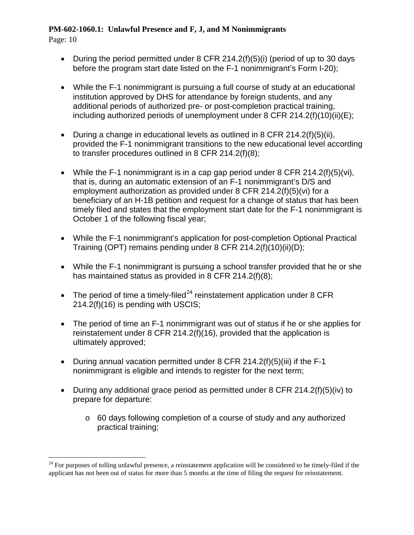Page: 10

- During the period permitted under 8 CFR 214.2(f)(5)(i) (period of up to 30 days before the program start date listed on the F-1 nonimmigrant's Form I-20);
- While the F-1 nonimmigrant is pursuing a full course of study at an educational institution approved by DHS for attendance by foreign students, and any additional periods of authorized pre- or post-completion practical training, including authorized periods of unemployment under 8 CFR 214.2(f)(10)(ii)(E);
- During a change in educational levels as outlined in 8 CFR 214.2(f)(5)(ii), provided the F-1 nonimmigrant transitions to the new educational level according to transfer procedures outlined in 8 CFR 214.2(f)(8);
- While the F-1 nonimmigrant is in a cap gap period under 8 CFR 214.2(f)(5)(vi), that is, during an automatic extension of an F-1 nonimmigrant's D/S and employment authorization as provided under 8 CFR 214.2(f)(5)(vi) for a beneficiary of an H-1B petition and request for a change of status that has been timely filed and states that the employment start date for the F-1 nonimmigrant is October 1 of the following fiscal year;
- While the F-1 nonimmigrant's application for post-completion Optional Practical Training (OPT) remains pending under 8 CFR 214.2(f)(10)(ii)(D);
- While the F-1 nonimmigrant is pursuing a school transfer provided that he or she has maintained status as provided in 8 CFR 214.2(f)(8);
- The period of time a timely-filed<sup>[24](#page-9-0)</sup> reinstatement application under 8 CFR 214.2(f)(16) is pending with USCIS;
- The period of time an F-1 nonimmigrant was out of status if he or she applies for reinstatement under 8 CFR 214.2(f)(16), provided that the application is ultimately approved;
- During annual vacation permitted under 8 CFR 214.2(f)(5)(iii) if the F-1 nonimmigrant is eligible and intends to register for the next term;
- During any additional grace period as permitted under 8 CFR 214.2(f)(5)(iv) to prepare for departure:
	- o 60 days following completion of a course of study and any authorized practical training;

<span id="page-9-0"></span> $^{24}$  For purposes of tolling unlawful presence, a reinstatement application will be considered to be timely-filed if the applicant has not been out of status for more than 5 months at the time of filing the request for reinstatement.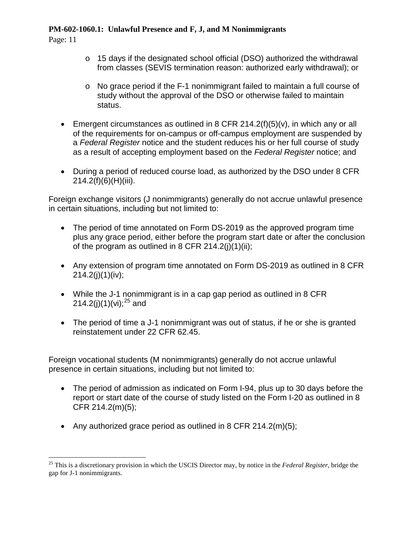Page: 11

- o 15 days if the designated school official (DSO) authorized the withdrawal from classes (SEVIS termination reason: authorized early withdrawal); or
- o No grace period if the F-1 nonimmigrant failed to maintain a full course of study without the approval of the DSO or otherwise failed to maintain status.
- Emergent circumstances as outlined in 8 CFR 214.2(f)(5)(v), in which any or all of the requirements for on-campus or off-campus employment are suspended by a *Federal Register* notice and the student reduces his or her full course of study as a result of accepting employment based on the *Federal Register* notice; and
- During a period of reduced course load, as authorized by the DSO under 8 CFR 214.2(f)(6)(H)(iii).

Foreign exchange visitors (J nonimmigrants) generally do not accrue unlawful presence in certain situations, including but not limited to:

- The period of time annotated on Form DS-2019 as the approved program time plus any grace period, either before the program start date or after the conclusion of the program as outlined in 8 CFR  $214.2(i)(1)(ii)$ :
- Any extension of program time annotated on Form DS-2019 as outlined in 8 CFR  $214.2(j)(1)(iv);$
- While the J-1 nonimmigrant is in a cap gap period as outlined in 8 CFR 214.2(j)(1)(vi);<sup>[25](#page-10-0)</sup> and
- The period of time a J-1 nonimmigrant was out of status, if he or she is granted reinstatement under 22 CFR 62.45.

Foreign vocational students (M nonimmigrants) generally do not accrue unlawful presence in certain situations, including but not limited to:

- The period of admission as indicated on Form I-94, plus up to 30 days before the report or start date of the course of study listed on the Form I-20 as outlined in 8 CFR 214.2(m)(5);
- Any authorized grace period as outlined in 8 CFR 214.2(m)(5);

<span id="page-10-0"></span> <sup>25</sup> This is a discretionary provision in which the USCIS Director may, by notice in the *Federal Register*, bridge the gap for J-1 nonimmigrants.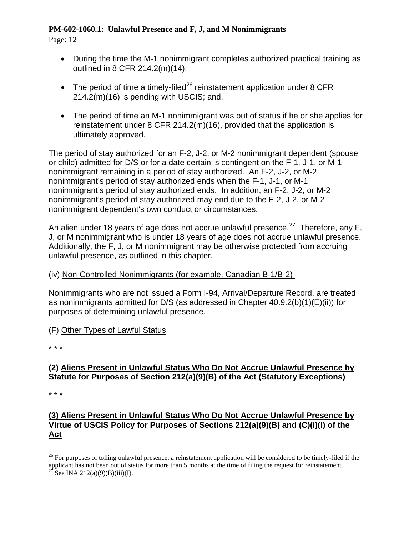Page: 12

- During the time the M-1 nonimmigrant completes authorized practical training as outlined in 8 CFR 214.2(m)(14);
- The period of time a timely-filed<sup>[26](#page-11-0)</sup> reinstatement application under 8 CFR 214.2(m)(16) is pending with USCIS; and,
- The period of time an M-1 nonimmigrant was out of status if he or she applies for reinstatement under 8 CFR 214.2(m)(16), provided that the application is ultimately approved.

The period of stay authorized for an F-2, J-2, or M-2 nonimmigrant dependent (spouse or child) admitted for D/S or for a date certain is contingent on the F-1, J-1, or M-1 nonimmigrant remaining in a period of stay authorized. An F-2, J-2, or M-2 nonimmigrant's period of stay authorized ends when the F-1, J-1, or M-1 nonimmigrant's period of stay authorized ends. In addition, an F-2, J-2, or M-2 nonimmigrant's period of stay authorized may end due to the F-2, J-2, or M-2 nonimmigrant dependent's own conduct or circumstances.

An alien under 18 years of age does not accrue unlawful presence.<sup>[27](#page-11-1)</sup> Therefore, any F, J, or M nonimmigrant who is under 18 years of age does not accrue unlawful presence. Additionally, the F, J, or M nonimmigrant may be otherwise protected from accruing unlawful presence, as outlined in this chapter.

#### (iv) Non-Controlled Nonimmigrants (for example, Canadian B-1/B-2)

Nonimmigrants who are not issued a Form I-94, Arrival/Departure Record, are treated as nonimmigrants admitted for D/S (as addressed in Chapter 40.9.2(b)(1)(E)(ii)) for purposes of determining unlawful presence.

#### (F) Other Types of Lawful Status

\* \* \*

# **(2) Aliens Present in Unlawful Status Who Do Not Accrue Unlawful Presence by Statute for Purposes of Section 212(a)(9)(B) of the Act (Statutory Exceptions)**

\* \* \*

# **[\(3\) Aliens](https://www.uscis.gov/ilink/docView/AFM/HTML/AFM/0-0-0-1/0-0-0-17138/0-0-0-18383.html#0-0-0-1861) Present in Unlawful Status Who Do Not Accrue Unlawful Presence by Virtue of USCIS Policy for Purposes of Sections 212(a)(9)(B) and (C)(i)(I) of the Act**

<span id="page-11-0"></span> $26$  For purposes of tolling unlawful presence, a reinstatement application will be considered to be timely-filed if the applicant has not been out of status for more than 5 months at the time of filing the request for reinstatement. <sup>27</sup> See INA 212(a)(9)(B)(iii)(I).

<span id="page-11-1"></span>